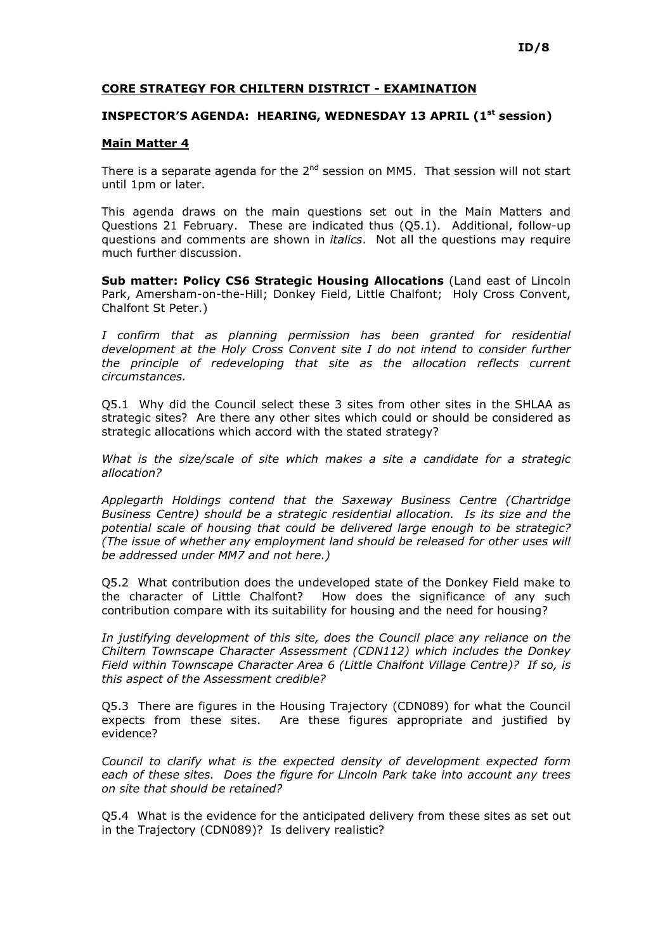## CORE STRATEGY FOR CHILTERN DISTRICT - EXAMINATION

## INSPECTOR'S AGENDA: HEARING, WEDNESDAY 13 APRIL (1<sup>st</sup> session)

## Main Matter 4

There is a separate agenda for the  $2^{nd}$  session on MM5. That session will not start until 1pm or later.

This agenda draws on the main questions set out in the Main Matters and Questions 21 February. These are indicated thus (Q5.1). Additional, follow-up questions and comments are shown in *italics*. Not all the questions may require much further discussion.

Sub matter: Policy CS6 Strategic Housing Allocations (Land east of Lincoln Park, Amersham-on-the-Hill; Donkey Field, Little Chalfont; Holy Cross Convent, Chalfont St Peter.)

I confirm that as planning permission has been granted for residential development at the Holy Cross Convent site I do not intend to consider further the principle of redeveloping that site as the allocation reflects current circumstances.

Q5.1 Why did the Council select these 3 sites from other sites in the SHLAA as strategic sites? Are there any other sites which could or should be considered as strategic allocations which accord with the stated strategy?

What is the size/scale of site which makes a site a candidate for a strategic allocation?

Applegarth Holdings contend that the Saxeway Business Centre (Chartridge Business Centre) should be a strategic residential allocation. Is its size and the potential scale of housing that could be delivered large enough to be strategic? (The issue of whether any employment land should be released for other uses will be addressed under MM7 and not here.)

Q5.2 What contribution does the undeveloped state of the Donkey Field make to the character of Little Chalfont? How does the significance of any such contribution compare with its suitability for housing and the need for housing?

In justifying development of this site, does the Council place any reliance on the Chiltern Townscape Character Assessment (CDN112) which includes the Donkey Field within Townscape Character Area 6 (Little Chalfont Village Centre)? If so, is this aspect of the Assessment credible?

Q5.3 There are figures in the Housing Trajectory (CDN089) for what the Council expects from these sites. Are these figures appropriate and justified by evidence?

Council to clarify what is the expected density of development expected form each of these sites. Does the figure for Lincoln Park take into account any trees on site that should be retained?

Q5.4 What is the evidence for the anticipated delivery from these sites as set out in the Trajectory (CDN089)? Is delivery realistic?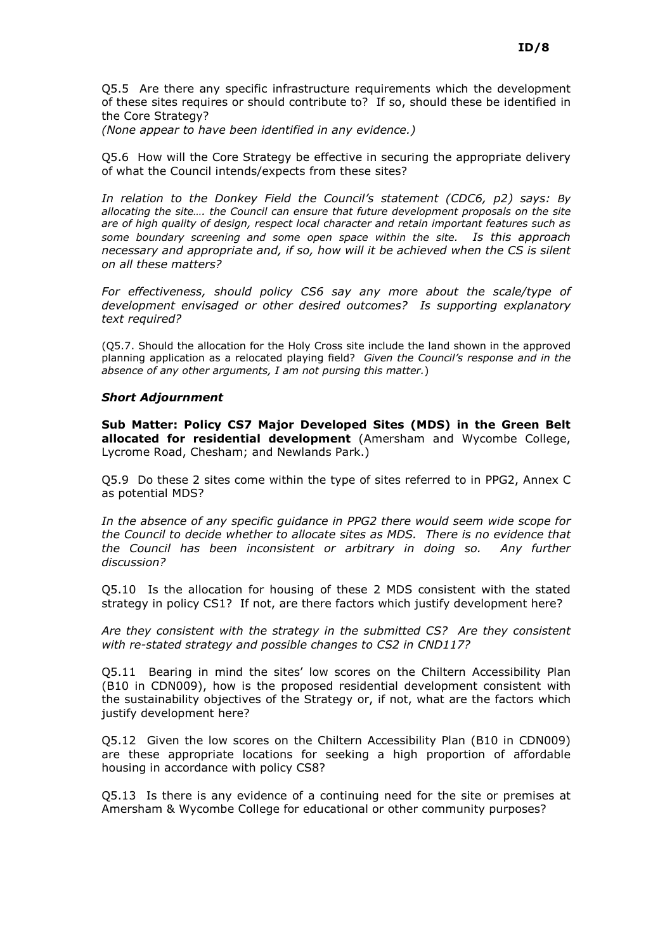Q5.5 Are there any specific infrastructure requirements which the development of these sites requires or should contribute to? If so, should these be identified in the Core Strategy?

(None appear to have been identified in any evidence.)

Q5.6 How will the Core Strategy be effective in securing the appropriate delivery of what the Council intends/expects from these sites?

In relation to the Donkey Field the Council's statement (CDC6, p2) says: By allocating the site…. the Council can ensure that future development proposals on the site are of high quality of design, respect local character and retain important features such as some boundary screening and some open space within the site. Is this approach necessary and appropriate and, if so, how will it be achieved when the CS is silent on all these matters?

For effectiveness, should policy CS6 say any more about the scale/type of development envisaged or other desired outcomes? Is supporting explanatory text required?

(Q5.7. Should the allocation for the Holy Cross site include the land shown in the approved planning application as a relocated playing field? Given the Council's response and in the absence of any other arguments, I am not pursing this matter.)

## Short Adjournment

Sub Matter: Policy CS7 Major Developed Sites (MDS) in the Green Belt allocated for residential development (Amersham and Wycombe College, Lycrome Road, Chesham; and Newlands Park.)

Q5.9 Do these 2 sites come within the type of sites referred to in PPG2, Annex C as potential MDS?

In the absence of any specific guidance in PPG2 there would seem wide scope for the Council to decide whether to allocate sites as MDS. There is no evidence that the Council has been inconsistent or arbitrary in doing so. Any further discussion?

Q5.10 Is the allocation for housing of these 2 MDS consistent with the stated strategy in policy CS1? If not, are there factors which justify development here?

Are they consistent with the strategy in the submitted CS? Are they consistent with re-stated strategy and possible changes to CS2 in CND117?

Q5.11 Bearing in mind the sites' low scores on the Chiltern Accessibility Plan (B10 in CDN009), how is the proposed residential development consistent with the sustainability objectives of the Strategy or, if not, what are the factors which justify development here?

Q5.12 Given the low scores on the Chiltern Accessibility Plan (B10 in CDN009) are these appropriate locations for seeking a high proportion of affordable housing in accordance with policy CS8?

Q5.13 Is there is any evidence of a continuing need for the site or premises at Amersham & Wycombe College for educational or other community purposes?